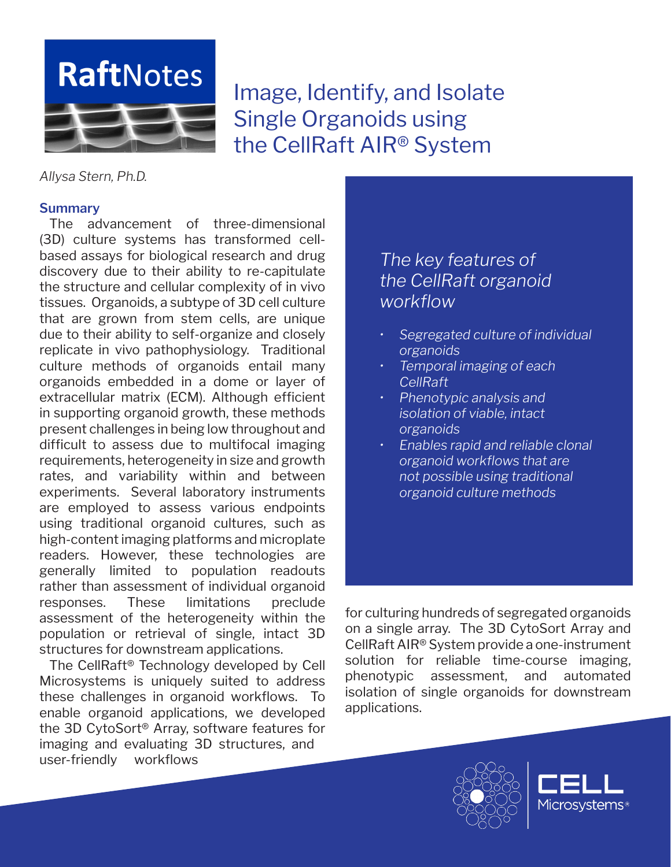

Image, Identify, and Isolate Single Organoids using the CellRaft AIR® System

*Allysa Stern, Ph.D.* 

### **Summary**

The advancement of three-dimensional (3D) culture systems has transformed cellbased assays for biological research and drug discovery due to their ability to re-capitulate the structure and cellular complexity of in vivo tissues. Organoids, a subtype of 3D cell culture that are grown from stem cells, are unique due to their ability to self-organize and closely replicate in vivo pathophysiology. Traditional culture methods of organoids entail many organoids embedded in a dome or layer of extracellular matrix (ECM). Although efficient in supporting organoid growth, these methods present challenges in being low throughout and difficult to assess due to multifocal imaging requirements, heterogeneity in size and growth rates, and variability within and between experiments. Several laboratory instruments are employed to assess various endpoints using traditional organoid cultures, such as high-content imaging platforms and microplate readers. However, these technologies are generally limited to population readouts rather than assessment of individual organoid responses. These limitations preclude assessment of the heterogeneity within the population or retrieval of single, intact 3D structures for downstream applications.

The CellRaft® Technology developed by Cell Microsystems is uniquely suited to address these challenges in organoid workflows. To enable organoid applications, we developed the 3D CytoSort® Array, software features for imaging and evaluating 3D structures, and user-friendly workflows

# *The key features of the CellRaft organoid workflow*

- *• Segregated culture of individual organoids*
- *• Temporal imaging of each CellRaft*
- *• Phenotypic analysis and isolation of viable, intact organoids*
- *• Enables rapid and reliable clonal organoid workflows that are not possible using traditional organoid culture methods*

for culturing hundreds of segregated organoids on a single array. The 3D CytoSort Array and CellRaft AIR® System provide a one-instrument solution for reliable time-course imaging, phenotypic assessment, and automated isolation of single organoids for downstream applications.



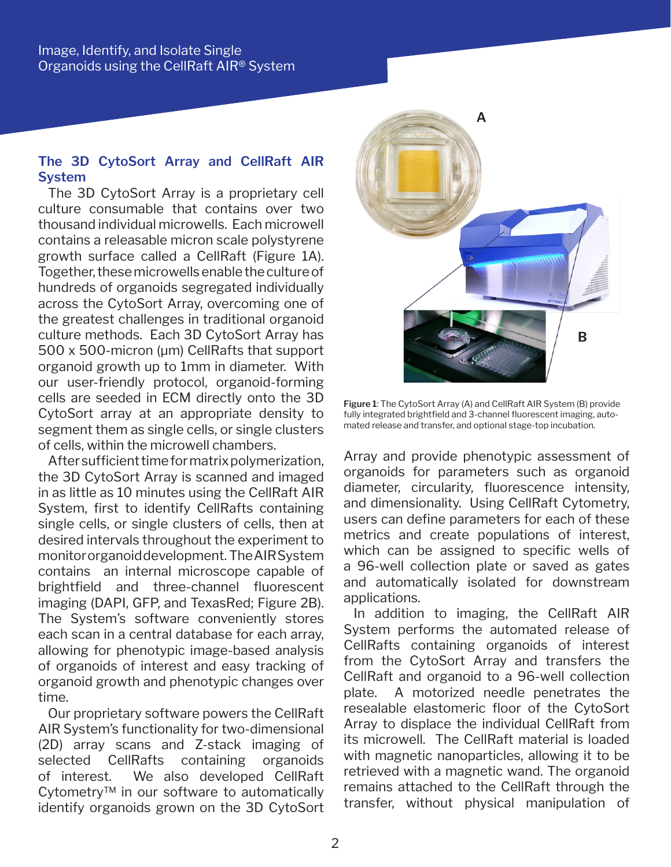# **The 3D CytoSort Array and CellRaft AIR System**

The 3D CytoSort Array is a proprietary cell culture consumable that contains over two thousand individual microwells. Each microwell contains a releasable micron scale polystyrene growth surface called a CellRaft (Figure 1A). Together, these microwells enable the culture of hundreds of organoids segregated individually across the CytoSort Array, overcoming one of the greatest challenges in traditional organoid culture methods. Each 3D CytoSort Array has 500 x 500-micron (µm) CellRafts that support organoid growth up to 1mm in diameter. With our user-friendly protocol, organoid-forming cells are seeded in ECM directly onto the 3D CytoSort array at an appropriate density to segment them as single cells, or single clusters of cells, within the microwell chambers.

After sufficient time for matrix polymerization, the 3D CytoSort Array is scanned and imaged in as little as 10 minutes using the CellRaft AIR System, first to identify CellRafts containing single cells, or single clusters of cells, then at desired intervals throughout the experiment to monitor organoid development. The AIR System contains an internal microscope capable of brightfield and three-channel fluorescent imaging (DAPI, GFP, and TexasRed; Figure 2B). The System's software conveniently stores each scan in a central database for each array, allowing for phenotypic image-based analysis of organoids of interest and easy tracking of organoid growth and phenotypic changes over time.

Our proprietary software powers the CellRaft AIR System's functionality for two-dimensional (2D) array scans and Z-stack imaging of selected CellRafts containing organoids of interest. We also developed CellRaft Cytometry™ in our software to automatically identify organoids grown on the 3D CytoSort



**Figure 1**: The CytoSort Array (A) and CellRaft AIR System (B) provide fully integrated brightfield and 3-channel fluorescent imaging, automated release and transfer, and optional stage-top incubation.

Array and provide phenotypic assessment of organoids for parameters such as organoid diameter, circularity, fluorescence intensity, and dimensionality. Using CellRaft Cytometry, users can define parameters for each of these metrics and create populations of interest, which can be assigned to specific wells of a 96-well collection plate or saved as gates and automatically isolated for downstream applications.

In addition to imaging, the CellRaft AIR System performs the automated release of CellRafts containing organoids of interest from the CytoSort Array and transfers the CellRaft and organoid to a 96-well collection plate. A motorized needle penetrates the resealable elastomeric floor of the CytoSort Array to displace the individual CellRaft from its microwell. The CellRaft material is loaded with magnetic nanoparticles, allowing it to be retrieved with a magnetic wand. The organoid remains attached to the CellRaft through the transfer, without physical manipulation of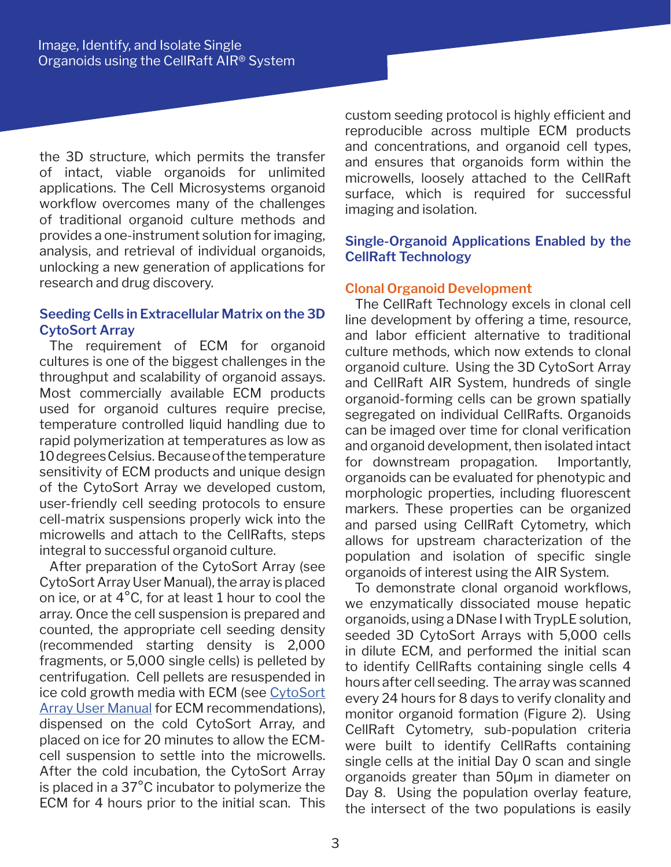the 3D structure, which permits the transfer of intact, viable organoids for unlimited applications. The Cell Microsystems organoid workflow overcomes many of the challenges of traditional organoid culture methods and provides a one-instrument solution for imaging, analysis, and retrieval of individual organoids, unlocking a new generation of applications for research and drug discovery.

# **Seeding Cells in Extracellular Matrix on the 3D CytoSort Array**

The requirement of ECM for organoid cultures is one of the biggest challenges in the throughput and scalability of organoid assays. Most commercially available ECM products used for organoid cultures require precise, temperature controlled liquid handling due to rapid polymerization at temperatures as low as 10 degrees Celsius. Because of the temperature sensitivity of ECM products and unique design of the CytoSort Array we developed custom, user-friendly cell seeding protocols to ensure cell-matrix suspensions properly wick into the microwells and attach to the CellRafts, steps integral to successful organoid culture.

After preparation of the CytoSort Array (see CytoSort Array User Manual), the array is placed on ice, or at 4°C, for at least 1 hour to cool the array. Once the cell suspension is prepared and counted, the appropriate cell seeding density (recommended starting density is 2,000 fragments, or 5,000 single cells) is pelleted by centrifugation. Cell pellets are resuspended in ice cold growth media with ECM (see CytoSort **Array User Manual for ECM recommendations),** dispensed on the cold CytoSort Array, and placed on ice for 20 minutes to allow the ECMcell suspension to settle into the microwells. After the cold incubation, the CytoSort Array is placed in a 37°C incubator to polymerize the ECM for 4 hours prior to the initial scan. This

custom seeding protocol is highly efficient and reproducible across multiple ECM products and concentrations, and organoid cell types, and ensures that organoids form within the microwells, loosely attached to the CellRaft surface, which is required for successful imaging and isolation.

# **Single-Organoid Applications Enabled by the CellRaft Technology**

## **Clonal Organoid Development**

The CellRaft Technology excels in clonal cell line development by offering a time, resource, and labor efficient alternative to traditional culture methods, which now extends to clonal organoid culture. Using the 3D CytoSort Array and CellRaft AIR System, hundreds of single organoid-forming cells can be grown spatially segregated on individual CellRafts. Organoids can be imaged over time for clonal verification and organoid development, then isolated intact for downstream propagation. Importantly, organoids can be evaluated for phenotypic and morphologic properties, including fluorescent markers. These properties can be organized and parsed using CellRaft Cytometry, which allows for upstream characterization of the population and isolation of specific single organoids of interest using the AIR System.

To demonstrate clonal organoid workflows, we enzymatically dissociated mouse hepatic organoids, using a DNase I with TrypLE solution, seeded 3D CytoSort Arrays with 5,000 cells in dilute ECM, and performed the initial scan to identify CellRafts containing single cells 4 hours after cell seeding. The array was scanned every 24 hours for 8 days to verify clonality and monitor organoid formation (Figure 2). Using CellRaft Cytometry, sub-population criteria were built to identify CellRafts containing single cells at the initial Day 0 scan and single organoids greater than 50µm in diameter on Day 8. Using the population overlay feature, the intersect of the two populations is easily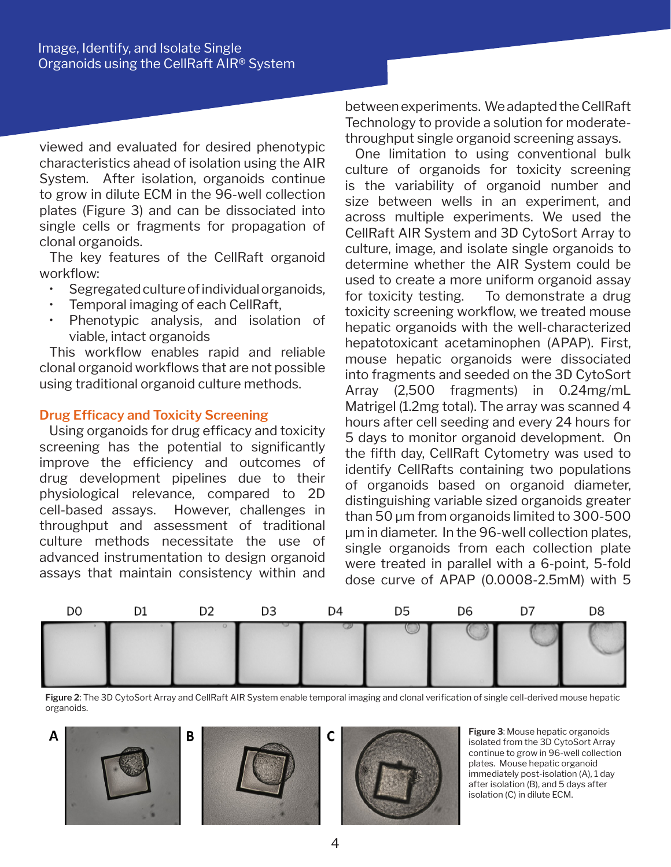viewed and evaluated for desired phenotypic characteristics ahead of isolation using the AIR System. After isolation, organoids continue to grow in dilute ECM in the 96-well collection plates (Figure 3) and can be dissociated into single cells or fragments for propagation of clonal organoids.

The key features of the CellRaft organoid workflow:

- Segregated culture of individual organoids,
- Temporal imaging of each CellRaft,
- Phenotypic analysis, and isolation of viable, intact organoids

This workflow enables rapid and reliable clonal organoid workflows that are not possible using traditional organoid culture methods.

#### **Drug Efficacy and Toxicity Screening**

Using organoids for drug efficacy and toxicity screening has the potential to significantly improve the efficiency and outcomes of drug development pipelines due to their physiological relevance, compared to 2D cell-based assays. However, challenges in throughput and assessment of traditional culture methods necessitate the use of advanced instrumentation to design organoid assays that maintain consistency within and between experiments. We adapted the CellRaft Technology to provide a solution for moderatethroughput single organoid screening assays.

One limitation to using conventional bulk culture of organoids for toxicity screening is the variability of organoid number and size between wells in an experiment, and across multiple experiments. We used the CellRaft AIR System and 3D CytoSort Array to culture, image, and isolate single organoids to determine whether the AIR System could be used to create a more uniform organoid assay for toxicity testing. To demonstrate a drug toxicity screening workflow, we treated mouse hepatic organoids with the well-characterized hepatotoxicant acetaminophen (APAP). First, mouse hepatic organoids were dissociated into fragments and seeded on the 3D CytoSort Array (2,500 fragments) in 0.24mg/mL Matrigel (1.2mg total). The array was scanned 4 hours after cell seeding and every 24 hours for 5 days to monitor organoid development. On the fifth day, CellRaft Cytometry was used to identify CellRafts containing two populations of organoids based on organoid diameter, distinguishing variable sized organoids greater than 50 µm from organoids limited to 300-500 µm in diameter. In the 96-well collection plates, single organoids from each collection plate were treated in parallel with a 6-point, 5-fold dose curve of APAP (0.0008-2.5mM) with 5



**Figure 2**: The 3D CytoSort Array and CellRaft AIR System enable temporal imaging and clonal verification of single cell-derived mouse hepatic organoids.







**Figure 3**: Mouse hepatic organoids isolated from the 3D CytoSort Array continue to grow in 96-well collection plates. Mouse hepatic organoid immediately post-isolation (A), 1 day after isolation (B), and 5 days after isolation (C) in dilute ECM.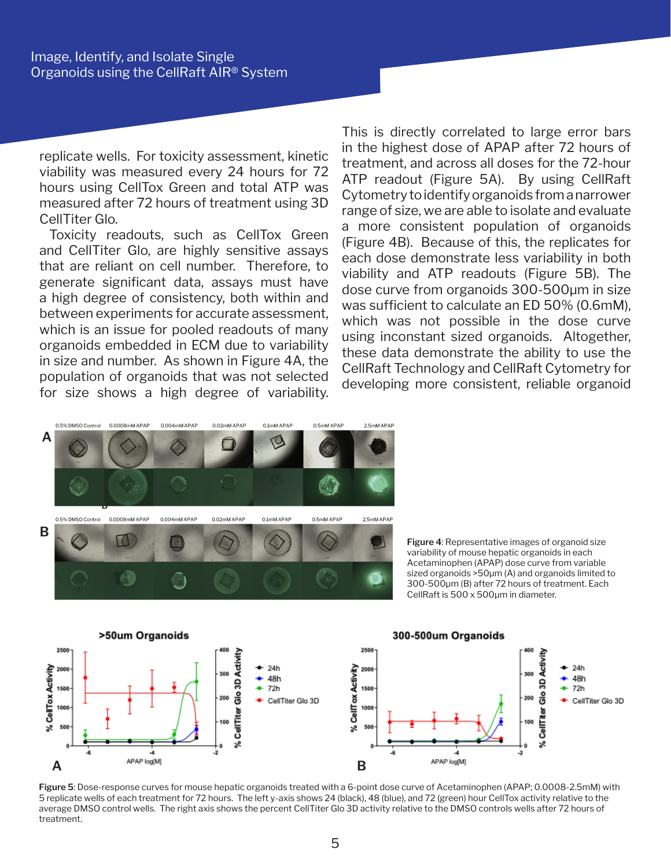replicate wells. For toxicity assessment, kinetic viability was measured every 24 hours for 72 hours using CellTox Green and total ATP was measured after 72 hours of treatment using 3D CellTiter Glo.

Toxicity readouts, such as CellTox Green and CellTiter Glo, are highly sensitive assays that are reliant on cell number. Therefore, to generate significant data, assays must have a high degree of consistency, both within and between experiments for accurate assessment, which is an issue for pooled readouts of many organoids embedded in ECM due to variability in size and number. As shown in Figure 4A, the population of organoids that was not selected for size shows a high degree of variability. This is directly correlated to large error bars in the highest dose of APAP after 72 hours of treatment, and across all doses for the 72-hour ATP readout (Figure 5A). By using CellRaft Cytometry to identify organoids from a narrower range of size, we are able to isolate and evaluate a more consistent population of organoids (Figure 4B). Because of this, the replicates for each dose demonstrate less variability in both viability and ATP readouts (Figure 5B). The dose curve from organoids 300-500µm in size was sufficient to calculate an ED 50% (0.6mM), which was not possible in the dose curve using inconstant sized organoids. Altogether, these data demonstrate the ability to use the CellRaft Technology and CellRaft Cytometry for developing more consistent, reliable organoid



**Figure 4**: Representative images of organoid size variability of mouse hepatic organoids in each Acetaminophen (APAP) dose curve from variable sized organoids >50µm (A) and organoids limited to 300-500µm (B) after 72 hours of treatment. Each CellRaft is 500 x 500µm in diameter.



**Figure 5**: Dose-response curves for mouse hepatic organoids treated with a 6-point dose curve of Acetaminophen (APAP; 0.0008-2.5mM) with 5 replicate wells of each treatment for 72 hours. The left y-axis shows 24 (black), 48 (blue), and 72 (green) hour CellTox activity relative to the average DMSO control wells. The right axis shows the percent CellTiter Glo 3D activity relative to the DMSO controls wells after 72 hours of treatment.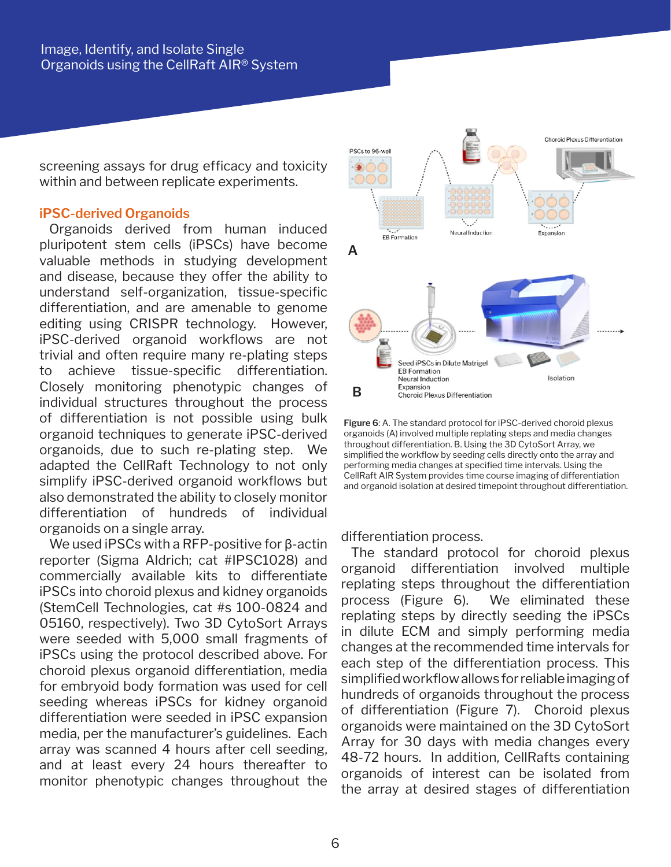screening assays for drug efficacy and toxicity within and between replicate experiments.

#### **iPSC-derived Organoids**

Organoids derived from human induced pluripotent stem cells (iPSCs) have become valuable methods in studying development and disease, because they offer the ability to understand self-organization, tissue-specific differentiation, and are amenable to genome editing using CRISPR technology. However, iPSC-derived organoid workflows are not trivial and often require many re-plating steps to achieve tissue-specific differentiation. Closely monitoring phenotypic changes of individual structures throughout the process of differentiation is not possible using bulk organoid techniques to generate iPSC-derived organoids, due to such re-plating step. We adapted the CellRaft Technology to not only simplify iPSC-derived organoid workflows but also demonstrated the ability to closely monitor differentiation of hundreds of individual organoids on a single array.

We used iPSCs with a RFP-positive for β-actin reporter (Sigma Aldrich; cat #IPSC1028) and commercially available kits to differentiate iPSCs into choroid plexus and kidney organoids (StemCell Technologies, cat #s 100-0824 and 05160, respectively). Two 3D CytoSort Arrays were seeded with 5,000 small fragments of iPSCs using the protocol described above. For choroid plexus organoid differentiation, media for embryoid body formation was used for cell seeding whereas iPSCs for kidney organoid differentiation were seeded in iPSC expansion media, per the manufacturer's guidelines. Each array was scanned 4 hours after cell seeding, and at least every 24 hours thereafter to monitor phenotypic changes throughout the



**Figure 6**: A. The standard protocol for iPSC-derived choroid plexus organoids (A) involved multiple replating steps and media changes throughout differentiation. B. Using the 3D CytoSort Array, we simplified the workflow by seeding cells directly onto the array and performing media changes at specified time intervals. Using the CellRaft AIR System provides time course imaging of differentiation and organoid isolation at desired timepoint throughout differentiation.

differentiation process.

The standard protocol for choroid plexus organoid differentiation involved multiple replating steps throughout the differentiation process (Figure 6). We eliminated these replating steps by directly seeding the iPSCs in dilute ECM and simply performing media changes at the recommended time intervals for each step of the differentiation process. This simplified workflow allows for reliable imaging of hundreds of organoids throughout the process of differentiation (Figure 7). Choroid plexus organoids were maintained on the 3D CytoSort Array for 30 days with media changes every 48-72 hours. In addition, CellRafts containing organoids of interest can be isolated from the array at desired stages of differentiation